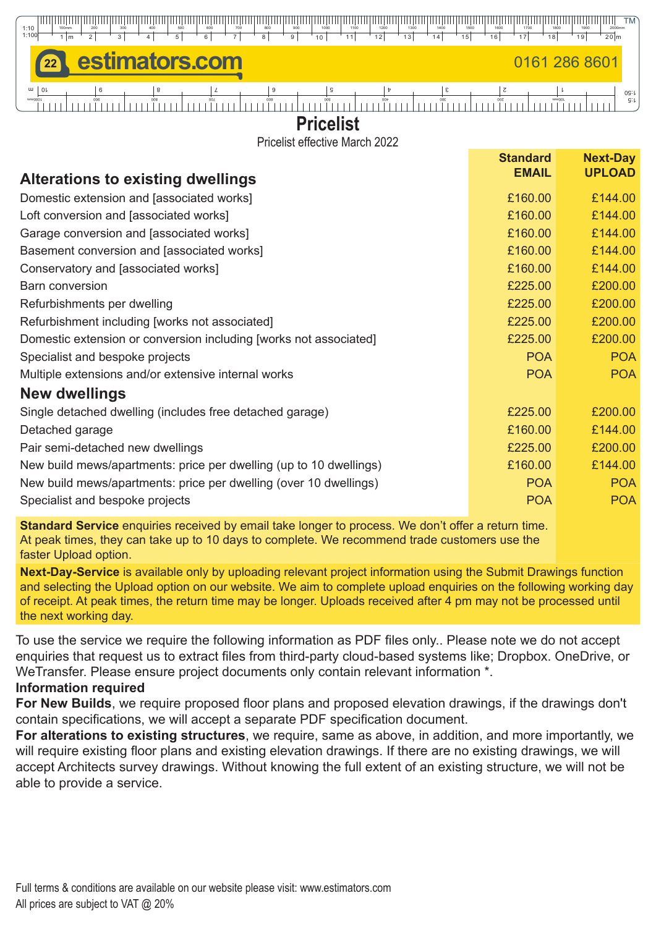

# **Pricelist**

Pricelist effective March 2022

|                                                                    | <b>Standard</b> | <b>Next-Day</b> |
|--------------------------------------------------------------------|-----------------|-----------------|
| <b>Alterations to existing dwellings</b>                           | <b>EMAIL</b>    | <b>UPLOAD</b>   |
| Domestic extension and [associated works]                          | £160.00         | £144.00         |
| Loft conversion and [associated works]                             | £160.00         | £144.00         |
| Garage conversion and [associated works]                           | £160.00         | £144.00         |
| Basement conversion and [associated works]                         | £160.00         | £144.00         |
| Conservatory and [associated works]                                | £160.00         | £144.00         |
| <b>Barn conversion</b>                                             | £225.00         | £200.00         |
| Refurbishments per dwelling                                        | £225.00         | £200.00         |
| Refurbishment including [works not associated]                     | £225.00         | £200.00         |
| Domestic extension or conversion including [works not associated]  | £225.00         | £200.00         |
| Specialist and bespoke projects                                    | <b>POA</b>      | <b>POA</b>      |
| Multiple extensions and/or extensive internal works                | <b>POA</b>      | <b>POA</b>      |
| <b>New dwellings</b>                                               |                 |                 |
| Single detached dwelling (includes free detached garage)           | £225.00         | £200.00         |
| Detached garage                                                    | £160.00         | £144.00         |
| Pair semi-detached new dwellings                                   | £225.00         | £200.00         |
| New build mews/apartments: price per dwelling (up to 10 dwellings) | £160.00         | £144.00         |
| New build mews/apartments: price per dwelling (over 10 dwellings)  | <b>POA</b>      | <b>POA</b>      |
| Specialist and bespoke projects                                    | <b>POA</b>      | <b>POA</b>      |

**Standard Service** enquiries received by email take longer to process. We don't offer a return time. At peak times, they can take up to 10 days to complete. We recommend trade customers use the faster Upload option.

**Next-Day-Service** is available only by uploading relevant project information using the Submit Drawings function and selecting the Upload option on our website. We aim to complete upload enquiries on the following working day of receipt. At peak times, the return time may be longer. Uploads received after 4 pm may not be processed until the next working day.

To use the service we require the following information as PDF files only.. Please note we do not accept enquiries that request us to extract files from third-party cloud-based systems like; Dropbox. OneDrive, or WeTransfer. Please ensure project documents only contain relevant information \*.

#### **Information required**

**For New Builds**, we require proposed floor plans and proposed elevation drawings, if the drawings don't contain specifications, we will accept a separate PDF specification document.

**For alterations to existing structures**, we require, same as above, in addition, and more importantly, we will require existing floor plans and existing elevation drawings. If there are no existing drawings, we will accept Architects survey drawings. Without knowing the full extent of an existing structure, we will not be able to provide a service.